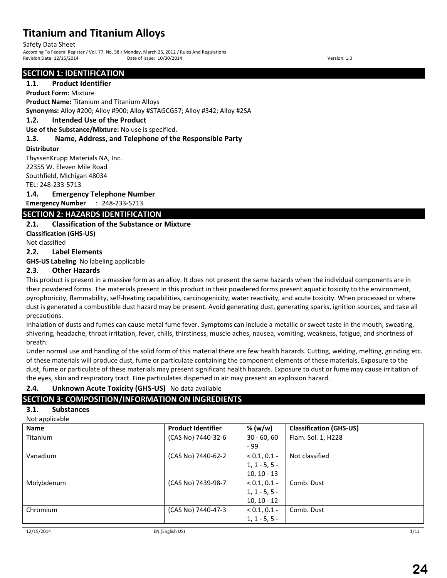Safety Data Sheet

According To Federal Register / Vol. 77, No. 58 / Monday, March 26, 2012 / Rules And Regulations Pate of issue: 10/30/2014 Date of issue: 10/30/2014

## **SECTION 1: IDENTIFICATION**

## **1.1. Product Identifier**

**Product Form:** Mixture

**Product Name:** Titanium and Titanium Alloys

**Synonyms:** Alloy #200; Alloy #900; Alloy #STAGCG57; Alloy #342; Alloy #2SA

### **1.2. Intended Use of the Product**

**Use of the Substance/Mixture:** No use is specified.

## **1.3. Name, Address, and Telephone of the Responsible Party**

#### **Distributor**

ThyssenKrupp Materials NA, Inc. 22355 W. Eleven Mile Road Southfield, Michigan 48034 TEL: 248-233-5713

### **1.4. Emergency Telephone Number**

**Emergency Number** : 248-233-5713

## **SECTION 2: HAZARDS IDENTIFICATION**

## **2.1. Classification of the Substance or Mixture**

**Classification (GHS-US)**

Not classified

### **2.2. Label Elements**

**GHS-US Labeling** No labeling applicable

## **2.3. Other Hazards**

This product is present in a massive form as an alloy. It does not present the same hazards when the individual components are in their powdered forms. The materials present in this product in their powdered forms present aquatic toxicity to the environment, pyrophoricity, flammability, self-heating capabilities, carcinogenicity, water reactivity, and acute toxicity. When processed or where dust is generated a combustible dust hazard may be present. Avoid generating dust, generating sparks, ignition sources, and take all precautions.

Inhalation of dusts and fumes can cause metal fume fever. Symptoms can include a metallic or sweet taste in the mouth, sweating, shivering, headache, throat irritation, fever, chills, thirstiness, muscle aches, nausea, vomiting, weakness, fatigue, and shortness of breath.

Under normal use and handling of the solid form of this material there are few health hazards. Cutting, welding, melting, grinding etc. of these materials will produce dust, fume or particulate containing the component elements of these materials. Exposure to the dust, fume or particulate of these materials may present significant health hazards. Exposure to dust or fume may cause irritation of the eyes, skin and respiratory tract. Fine particulates dispersed in air may present an explosion hazard.

## **2.4. Unknown Acute Toxicity (GHS-US)** No data available

## **SECTION 3: COMPOSITION/INFORMATION ON INGREDIENTS**

## **3.1. Substances**

| Not applicable |  |  |
|----------------|--|--|

| <b>IVOL applicable</b><br><b>Name</b> | <b>Product Identifier</b> | % (w/w)         | <b>Classification (GHS-US)</b> |
|---------------------------------------|---------------------------|-----------------|--------------------------------|
| Titanium                              | (CAS No) 7440-32-6        | $30 - 60, 60$   | Flam. Sol. 1, H228             |
|                                       |                           | - 99            |                                |
| Vanadium                              | (CAS No) 7440-62-2        | $< 0.1, 0.1 -$  | Not classified                 |
|                                       |                           | $1, 1 - 5, 5 -$ |                                |
|                                       |                           | $10, 10 - 13$   |                                |
| Molybdenum                            | (CAS No) 7439-98-7        | $< 0.1, 0.1 -$  | Comb. Dust                     |
|                                       |                           | $1, 1 - 5, 5 -$ |                                |
|                                       |                           | $10, 10 - 12$   |                                |
| Chromium                              | (CAS No) 7440-47-3        | $< 0.1, 0.1 -$  | Comb. Dust                     |
|                                       |                           | $1, 1 - 5, 5 -$ |                                |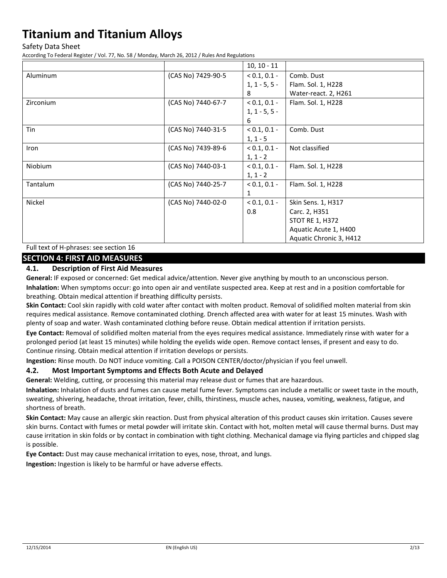Safety Data Sheet

According To Federal Register / Vol. 77, No. 58 / Monday, March 26, 2012 / Rules And Regulations

|           |                    | $10, 10 - 11$   |                         |
|-----------|--------------------|-----------------|-------------------------|
| Aluminum  | (CAS No) 7429-90-5 | $< 0.1, 0.1 -$  | Comb. Dust              |
|           |                    | $1, 1 - 5, 5 -$ | Flam. Sol. 1, H228      |
|           |                    | 8               | Water-react. 2, H261    |
| Zirconium | (CAS No) 7440-67-7 | $< 0.1, 0.1 -$  | Flam. Sol. 1, H228      |
|           |                    | $1, 1 - 5, 5 -$ |                         |
|           |                    | 6               |                         |
| Tin       | (CAS No) 7440-31-5 | $< 0.1, 0.1 -$  | Comb. Dust              |
|           |                    | $1, 1 - 5$      |                         |
| Iron      | (CAS No) 7439-89-6 | $< 0.1, 0.1 -$  | Not classified          |
|           |                    | $1, 1 - 2$      |                         |
| Niobium   | (CAS No) 7440-03-1 | $< 0.1, 0.1 -$  | Flam. Sol. 1, H228      |
|           |                    | $1, 1 - 2$      |                         |
| Tantalum  | (CAS No) 7440-25-7 | $< 0.1, 0.1 -$  | Flam. Sol. 1, H228      |
|           |                    | $\mathbf{1}$    |                         |
| Nickel    | (CAS No) 7440-02-0 | $< 0.1, 0.1 -$  | Skin Sens. 1, H317      |
|           |                    | 0.8             | Carc. 2, H351           |
|           |                    |                 | <b>STOT RE 1, H372</b>  |
|           |                    |                 | Aquatic Acute 1, H400   |
|           |                    |                 | Aquatic Chronic 3, H412 |

Full text of H-phrases: see section 16

## **SECTION 4: FIRST AID MEASURES**

#### **4.1. Description of First Aid Measures**

**General:** IF exposed or concerned: Get medical advice/attention. Never give anything by mouth to an unconscious person.

**Inhalation:** When symptoms occur: go into open air and ventilate suspected area. Keep at rest and in a position comfortable for breathing. Obtain medical attention if breathing difficulty persists.

**Skin Contact:** Cool skin rapidly with cold water after contact with molten product. Removal of solidified molten material from skin requires medical assistance. Remove contaminated clothing. Drench affected area with water for at least 15 minutes. Wash with plenty of soap and water. Wash contaminated clothing before reuse. Obtain medical attention if irritation persists.

**Eye Contact:** Removal of solidified molten material from the eyes requires medical assistance. Immediately rinse with water for a prolonged period (at least 15 minutes) while holding the eyelids wide open. Remove contact lenses, if present and easy to do. Continue rinsing. Obtain medical attention if irritation develops or persists.

**Ingestion:** Rinse mouth. Do NOT induce vomiting. Call a POISON CENTER/doctor/physician if you feel unwell.

#### **4.2. Most Important Symptoms and Effects Both Acute and Delayed**

**General:** Welding, cutting, or processing this material may release dust or fumes that are hazardous.

**Inhalation:** Inhalation of dusts and fumes can cause metal fume fever. Symptoms can include a metallic or sweet taste in the mouth, sweating, shivering, headache, throat irritation, fever, chills, thirstiness, muscle aches, nausea, vomiting, weakness, fatigue, and shortness of breath.

**Skin Contact:** May cause an allergic skin reaction. Dust from physical alteration of this product causes skin irritation. Causes severe skin burns. Contact with fumes or metal powder will irritate skin. Contact with hot, molten metal will cause thermal burns. Dust may cause irritation in skin folds or by contact in combination with tight clothing. Mechanical damage via flying particles and chipped slag is possible.

**Eye Contact:** Dust may cause mechanical irritation to eyes, nose, throat, and lungs.

**Ingestion:** Ingestion is likely to be harmful or have adverse effects.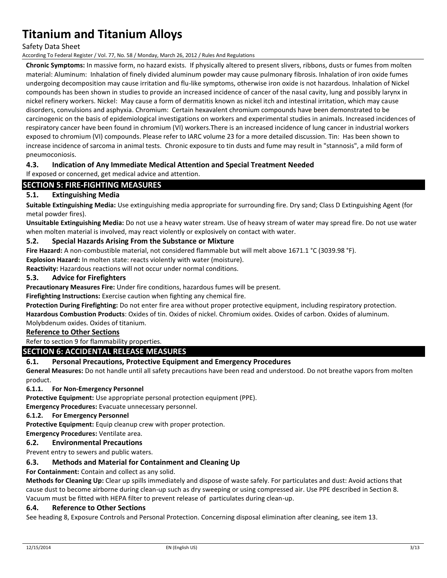Safety Data Sheet

According To Federal Register / Vol. 77, No. 58 / Monday, March 26, 2012 / Rules And Regulations

**Chronic Symptoms:** In massive form, no hazard exists. If physically altered to present slivers, ribbons, dusts or fumes from molten material: Aluminum: Inhalation of finely divided aluminum powder may cause pulmonary fibrosis. Inhalation of iron oxide fumes undergoing decomposition may cause irritation and flu-like symptoms, otherwise iron oxide is not hazardous. Inhalation of Nickel compounds has been shown in studies to provide an increased incidence of cancer of the nasal cavity, lung and possibly larynx in nickel refinery workers. Nickel: May cause a form of dermatitis known as nickel itch and intestinal irritation, which may cause disorders, convulsions and asphyxia. Chromium: Certain hexavalent chromium compounds have been demonstrated to be carcinogenic on the basis of epidemiological investigations on workers and experimental studies in animals. Increased incidences of respiratory cancer have been found in chromium (VI) workers.There is an increased incidence of lung cancer in industrial workers exposed to chromium (VI) compounds. Please refer to IARC volume 23 for a more detailed discussion. Tin: Has been shown to increase incidence of sarcoma in animal tests. Chronic exposure to tin dusts and fume may result in "stannosis", a mild form of pneumoconiosis.

## **4.3. Indication of Any Immediate Medical Attention and Special Treatment Needed**

If exposed or concerned, get medical advice and attention.

## **SECTION 5: FIRE-FIGHTING MEASURES**

### **5.1. Extinguishing Media**

**Suitable Extinguishing Media:** Use extinguishing media appropriate for surrounding fire. Dry sand; Class D Extinguishing Agent (for metal powder fires).

**Unsuitable Extinguishing Media:** Do not use a heavy water stream. Use of heavy stream of water may spread fire. Do not use water when molten material is involved, may react violently or explosively on contact with water.

### **5.2. Special Hazards Arising From the Substance or Mixture**

**Fire Hazard:** A non-combustible material, not considered flammable but will melt above 1671.1 °C (3039.98 °F).

**Explosion Hazard:** In molten state: reacts violently with water (moisture).

**Reactivity:** Hazardous reactions will not occur under normal conditions.

### **5.3. Advice for Firefighters**

**Precautionary Measures Fire:** Under fire conditions, hazardous fumes will be present.

**Firefighting Instructions:** Exercise caution when fighting any chemical fire.

**Protection During Firefighting:** Do not enter fire area without proper protective equipment, including respiratory protection. **Hazardous Combustion Products**: Oxides of tin. Oxides of nickel. Chromium oxides. Oxides of carbon. Oxides of aluminum.

Molybdenum oxides. Oxides of titanium.

### **Reference to Other Sections**

Refer to section 9 for flammability properties.

#### **SECTION 6: ACCIDENTAL RELEASE MEASURES**

#### **6.1. Personal Precautions, Protective Equipment and Emergency Procedures**

**General Measures:** Do not handle until all safety precautions have been read and understood. Do not breathe vapors from molten product.

#### **6.1.1. For Non-Emergency Personnel**

**Protective Equipment:** Use appropriate personal protection equipment (PPE).

**Emergency Procedures:** Evacuate unnecessary personnel.

#### **6.1.2. For Emergency Personnel**

**Protective Equipment:** Equip cleanup crew with proper protection.

#### **Emergency Procedures:** Ventilate area.

#### **6.2. Environmental Precautions**

Prevent entry to sewers and public waters.

#### **6.3. Methods and Material for Containment and Cleaning Up**

**For Containment:** Contain and collect as any solid.

**Methods for Cleaning Up:** Clear up spills immediately and dispose of waste safely. For particulates and dust: Avoid actions that cause dust to become airborne during clean-up such as dry sweeping or using compressed air. Use PPE described in Section 8. Vacuum must be fitted with HEPA filter to prevent release of particulates during clean-up.

#### **6.4. Reference to Other Sections**

See heading 8, Exposure Controls and Personal Protection. Concerning disposal elimination after cleaning, see item 13.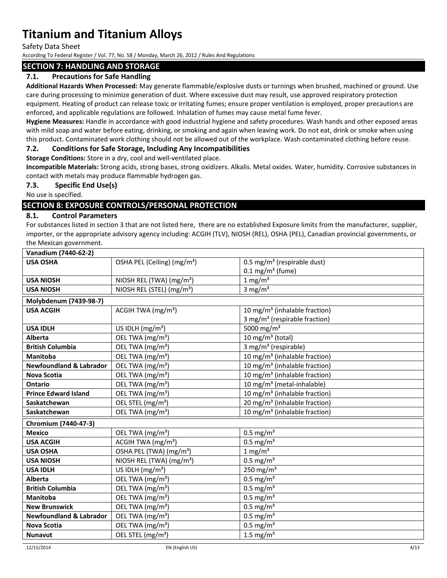Safety Data Sheet

According To Federal Register / Vol. 77, No. 58 / Monday, March 26, 2012 / Rules And Regulations

### **SECTION 7: HANDLING AND STORAGE**

## **7.1. Precautions for Safe Handling**

**Additional Hazards When Processed:** May generate flammable/explosive dusts or turnings when brushed, machined or ground. Use care during processing to minimize generation of dust. Where excessive dust may result, use approved respiratory protection equipment. Heating of product can release toxic or irritating fumes; ensure proper ventilation is employed, proper precautions are enforced, and applicable regulations are followed. Inhalation of fumes may cause metal fume fever.

**Hygiene Measures:** Handle in accordance with good industrial hygiene and safety procedures. Wash hands and other exposed areas with mild soap and water before eating, drinking, or smoking and again when leaving work. Do not eat, drink or smoke when using this product. Contaminated work clothing should not be allowed out of the workplace. Wash contaminated clothing before reuse.

## **7.2. Conditions for Safe Storage, Including Any Incompatibilities**

**Storage Conditions:** Store in a dry, cool and well-ventilated place.

**Incompatible Materials:** Strong acids, strong bases, strong oxidizers. Alkalis. Metal oxides. Water, humidity. Corrosive substances in contact with metals may produce flammable hydrogen gas.

## **7.3. Specific End Use(s)**

No use is specified.

## **SECTION 8: EXPOSURE CONTROLS/PERSONAL PROTECTION**

### **8.1. Control Parameters**

For substances listed in section 3 that are not listed here, there are no established Exposure limits from the manufacturer, supplier, importer, or the appropriate advisory agency including: ACGIH (TLV), NIOSH (REL), OSHA (PEL), Canadian provincial governments, or the Mexican government.

| Vanadium (7440-62-2)               |                                         |                                           |  |  |
|------------------------------------|-----------------------------------------|-------------------------------------------|--|--|
| <b>USA OSHA</b>                    | OSHA PEL (Ceiling) (mg/m <sup>3</sup> ) | 0.5 mg/m <sup>3</sup> (respirable dust)   |  |  |
|                                    |                                         | $0.1 \text{ mg/m}^3$ (fume)               |  |  |
| <b>USA NIOSH</b>                   | NIOSH REL (TWA) (mg/m <sup>3</sup> )    | $1$ mg/m <sup>3</sup>                     |  |  |
| <b>USA NIOSH</b>                   | NIOSH REL (STEL) (mg/m <sup>3</sup> )   | 3 mg/ $m3$                                |  |  |
| Molybdenum (7439-98-7)             |                                         |                                           |  |  |
| <b>USA ACGIH</b>                   | ACGIH TWA $(mg/m3)$                     | 10 mg/m <sup>3</sup> (inhalable fraction) |  |  |
|                                    |                                         | 3 mg/m <sup>3</sup> (respirable fraction) |  |  |
| <b>USA IDLH</b>                    | US IDLH $(mg/m3)$                       | 5000 mg/m <sup>3</sup>                    |  |  |
| Alberta                            | OEL TWA (mg/m <sup>3</sup> )            | 10 mg/m <sup>3</sup> (total)              |  |  |
| <b>British Columbia</b>            | OEL TWA (mg/m <sup>3</sup> )            | 3 mg/m <sup>3</sup> (respirable)          |  |  |
| Manitoba                           | OEL TWA (mg/m <sup>3</sup> )            | 10 mg/m <sup>3</sup> (inhalable fraction) |  |  |
| <b>Newfoundland &amp; Labrador</b> | OEL TWA (mg/m <sup>3</sup> )            | 10 mg/m <sup>3</sup> (inhalable fraction) |  |  |
| Nova Scotia                        | OEL TWA (mg/m <sup>3</sup> )            | 10 mg/m <sup>3</sup> (inhalable fraction) |  |  |
| <b>Ontario</b>                     | OEL TWA (mg/m <sup>3</sup> )            | 10 mg/m <sup>3</sup> (metal-inhalable)    |  |  |
| <b>Prince Edward Island</b>        | OEL TWA (mg/m <sup>3</sup> )            | 10 mg/m <sup>3</sup> (inhalable fraction) |  |  |
| Saskatchewan                       | OEL STEL (mg/m <sup>3</sup> )           | 20 mg/m <sup>3</sup> (inhalable fraction) |  |  |
| Saskatchewan                       | OEL TWA (mg/m <sup>3</sup> )            | 10 mg/m <sup>3</sup> (inhalable fraction) |  |  |
| Chromium (7440-47-3)               |                                         |                                           |  |  |
| <b>Mexico</b>                      | OEL TWA (mg/m <sup>3</sup> )            | $0.5$ mg/m <sup>3</sup>                   |  |  |
| <b>USA ACGIH</b>                   | ACGIH TWA (mg/m <sup>3</sup> )          | $0.5$ mg/m <sup>3</sup>                   |  |  |
| <b>USA OSHA</b>                    | OSHA PEL (TWA) (mg/m <sup>3</sup> )     | $1$ mg/m <sup>3</sup>                     |  |  |
| <b>USA NIOSH</b>                   | NIOSH REL (TWA) (mg/m <sup>3</sup> )    | $0.5$ mg/m <sup>3</sup>                   |  |  |
| <b>USA IDLH</b>                    | US IDLH $(mg/m3)$                       | 250 mg/m $3$                              |  |  |
| Alberta                            | OEL TWA (mg/m <sup>3</sup> )            | $0.5$ mg/m <sup>3</sup>                   |  |  |
| <b>British Columbia</b>            | OEL TWA (mg/m <sup>3</sup> )            | $0.5$ mg/m <sup>3</sup>                   |  |  |
| <b>Manitoba</b>                    | OEL TWA (mg/m <sup>3</sup> )            | $0.5$ mg/m <sup>3</sup>                   |  |  |
| <b>New Brunswick</b>               | OEL TWA (mg/m <sup>3</sup> )            | $0.5 \text{ mg/m}^3$                      |  |  |
| <b>Newfoundland &amp; Labrador</b> | OEL TWA (mg/m <sup>3</sup> )            | $0.5$ mg/m <sup>3</sup>                   |  |  |
| <b>Nova Scotia</b>                 | OEL TWA (mg/m <sup>3</sup> )            | $0.5$ mg/m <sup>3</sup>                   |  |  |
| <b>Nunavut</b>                     | OEL STEL (mg/m <sup>3</sup> )           | 1.5 mg/ $m3$                              |  |  |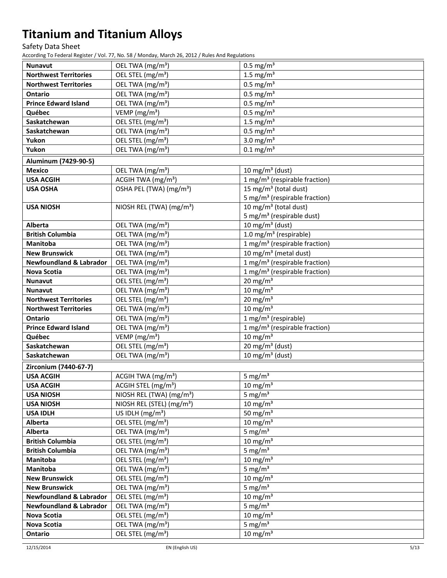Safety Data Sheet

According To Federal Register / Vol. 77, No. 58 / Monday, March 26, 2012 / Rules And Regulations

| <b>Nunavut</b>                            | OEL TWA (mg/m <sup>3</sup> )                                                  | $0.5 \text{ mg/m}^3$                        |
|-------------------------------------------|-------------------------------------------------------------------------------|---------------------------------------------|
| <b>Northwest Territories</b>              | OEL STEL (mg/m <sup>3</sup> )                                                 | 1.5 mg/ $m3$                                |
| <b>Northwest Territories</b>              | OEL TWA (mg/m <sup>3</sup> )                                                  | $0.5 \text{ mg/m}^3$                        |
| <b>Ontario</b>                            | OEL TWA (mg/m <sup>3</sup> )                                                  | $0.5 \text{ mg/m}^3$                        |
| <b>Prince Edward Island</b>               | OEL TWA (mg/m <sup>3</sup> )                                                  | $0.5$ mg/m <sup>3</sup>                     |
| Québec                                    | VEMP (mg/m <sup>3</sup> )                                                     | $0.5$ mg/m <sup>3</sup>                     |
| Saskatchewan                              | OEL STEL (mg/m <sup>3</sup> )                                                 | 1.5 mg/ $m3$                                |
| Saskatchewan                              | OEL TWA (mg/m <sup>3</sup> )                                                  | $0.5$ mg/m <sup>3</sup>                     |
| Yukon                                     | OEL STEL (mg/m <sup>3</sup> )                                                 | 3.0 mg/ $m3$                                |
| Yukon                                     | OEL TWA (mg/m <sup>3</sup> )                                                  | $0.1 \text{ mg/m}^3$                        |
| Aluminum (7429-90-5)                      |                                                                               |                                             |
| <b>Mexico</b>                             | OEL TWA (mg/m <sup>3</sup> )                                                  | 10 mg/m <sup>3</sup> (dust)                 |
| <b>USA ACGIH</b>                          | ACGIH TWA (mg/m <sup>3</sup> )                                                | 1 mg/m <sup>3</sup> (respirable fraction)   |
| <b>USA OSHA</b>                           | OSHA PEL (TWA) (mg/m <sup>3</sup> )                                           | 15 mg/m <sup>3</sup> (total dust)           |
|                                           |                                                                               | 5 mg/m <sup>3</sup> (respirable fraction)   |
| <b>USA NIOSH</b>                          | NIOSH REL (TWA) (mg/m <sup>3</sup> )                                          | 10 mg/m <sup>3</sup> (total dust)           |
|                                           |                                                                               | 5 mg/m <sup>3</sup> (respirable dust)       |
| Alberta                                   | OEL TWA (mg/m <sup>3</sup> )                                                  | 10 mg/m $3$ (dust)                          |
| <b>British Columbia</b>                   | OEL TWA (mg/m <sup>3</sup> )                                                  | 1.0 mg/m <sup>3</sup> (respirable)          |
| <b>Manitoba</b>                           | OEL TWA (mg/m <sup>3</sup> )                                                  | $1$ mg/m <sup>3</sup> (respirable fraction) |
| <b>New Brunswick</b>                      | OEL TWA (mg/m <sup>3</sup> )                                                  | 10 mg/m <sup>3</sup> (metal dust)           |
| <b>Newfoundland &amp; Labrador</b>        | OEL TWA (mg/m <sup>3</sup> )                                                  | 1 mg/m <sup>3</sup> (respirable fraction)   |
| <b>Nova Scotia</b>                        | OEL TWA (mg/m <sup>3</sup> )                                                  | 1 mg/m <sup>3</sup> (respirable fraction)   |
| Nunavut                                   | OEL STEL (mg/m <sup>3</sup> )                                                 | $20 \text{ mg/m}^3$                         |
| <b>Nunavut</b>                            | OEL TWA (mg/m <sup>3</sup> )                                                  | $10 \text{ mg/m}^3$                         |
| <b>Northwest Territories</b>              | OEL STEL (mg/m <sup>3</sup> )                                                 | $20 \text{ mg/m}^3$                         |
| <b>Northwest Territories</b>              | OEL TWA (mg/m <sup>3</sup> )                                                  | $10 \text{ mg/m}^3$                         |
| <b>Ontario</b>                            | OEL TWA (mg/m <sup>3</sup> )                                                  | $1$ mg/m <sup>3</sup> (respirable)          |
| <b>Prince Edward Island</b>               | OEL TWA (mg/m <sup>3</sup> )                                                  | 1 mg/m <sup>3</sup> (respirable fraction)   |
| Québec                                    | VEMP (mg/m <sup>3</sup> )                                                     | $10 \text{ mg/m}^3$                         |
| Saskatchewan                              | OEL STEL (mg/m <sup>3</sup> )                                                 | $20 \text{ mg/m}^3$ (dust)                  |
| Saskatchewan                              | OEL TWA (mg/m <sup>3</sup> )                                                  | 10 mg/m $3$ (dust)                          |
|                                           |                                                                               |                                             |
| Zirconium (7440-67-7)<br><b>USA ACGIH</b> |                                                                               |                                             |
| <b>USA ACGIH</b>                          | ACGIH TWA (mg/m <sup>3</sup> )                                                | 5 mg/ $m3$                                  |
|                                           | ACGIH STEL (mg/m <sup>3</sup> )                                               | $10 \text{ mg/m}^3$                         |
| <b>USA NIOSH</b><br><b>USA NIOSH</b>      | NIOSH REL (TWA) (mg/m <sup>3</sup> )<br>NIOSH REL (STEL) (mg/m <sup>3</sup> ) | 5 mg/ $m3$<br>$10 \text{ mg/m}^3$           |
| <b>USA IDLH</b>                           | US IDLH $(mg/m3)$                                                             | 50 mg/ $m3$                                 |
| Alberta                                   | OEL STEL (mg/m <sup>3</sup> )                                                 | $10 \text{ mg/m}^3$                         |
| Alberta                                   | OEL TWA (mg/m <sup>3</sup> )                                                  | 5 mg/ $m3$                                  |
| <b>British Columbia</b>                   | OEL STEL (mg/m <sup>3</sup> )                                                 | $10 \text{ mg/m}^3$                         |
| <b>British Columbia</b>                   | OEL TWA (mg/m <sup>3</sup> )                                                  | 5 mg/ $m3$                                  |
| Manitoba                                  | OEL STEL (mg/m <sup>3</sup> )                                                 | $10 \text{ mg/m}^3$                         |
| Manitoba                                  | OEL TWA (mg/m <sup>3</sup> )                                                  | 5 mg/ $m3$                                  |
| <b>New Brunswick</b>                      | OEL STEL (mg/m <sup>3</sup> )                                                 | $10 \text{ mg/m}^3$                         |
| <b>New Brunswick</b>                      | OEL TWA (mg/m <sup>3</sup> )                                                  | 5 mg/ $m3$                                  |
| <b>Newfoundland &amp; Labrador</b>        | OEL STEL (mg/m <sup>3</sup> )                                                 | $10 \text{ mg/m}^3$                         |
| <b>Newfoundland &amp; Labrador</b>        | OEL TWA (mg/m <sup>3</sup> )                                                  | 5 mg/ $m3$                                  |
|                                           | OEL STEL (mg/m <sup>3</sup> )                                                 | $10 \text{ mg/m}^3$                         |
| Nova Scotia<br><b>Nova Scotia</b>         | OEL TWA (mg/m <sup>3</sup> )                                                  | 5 mg/ $m3$                                  |
|                                           | OEL STEL (mg/m <sup>3</sup> )                                                 | $10 \text{ mg/m}^3$                         |
| Ontario                                   |                                                                               |                                             |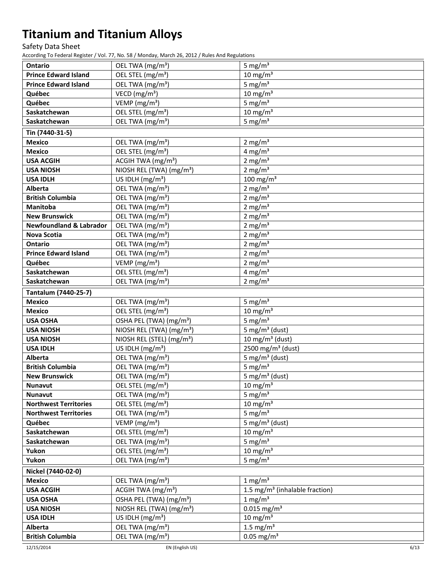Safety Data Sheet

According To Federal Register / Vol. 77, No. 58 / Monday, March 26, 2012 / Rules And Regulations

| <b>Ontario</b>                     | OEL TWA (mg/m <sup>3</sup> )          | 5 mg/ $m3$                                 |
|------------------------------------|---------------------------------------|--------------------------------------------|
| <b>Prince Edward Island</b>        | OEL STEL (mg/m <sup>3</sup> )         | $10 \text{ mg/m}^3$                        |
| <b>Prince Edward Island</b>        | OEL TWA (mg/m <sup>3</sup> )          | 5 mg/ $m3$                                 |
| Québec                             | VECD (mg/m <sup>3</sup> )             | $10 \text{ mg/m}^3$                        |
| Québec                             | VEMP (mg/m <sup>3</sup> )             | 5 mg/ $m3$                                 |
| Saskatchewan                       | OEL STEL (mg/m <sup>3</sup> )         | $10 \text{ mg/m}^3$                        |
| Saskatchewan                       | OEL TWA (mg/m <sup>3</sup> )          | 5 mg/ $m3$                                 |
|                                    |                                       |                                            |
| Tin (7440-31-5)                    |                                       |                                            |
| <b>Mexico</b>                      | OEL TWA (mg/m <sup>3</sup> )          | 2 mg/m <sup>3</sup>                        |
| <b>Mexico</b>                      | OEL STEL (mg/m <sup>3</sup> )         | 4 mg/ $m3$                                 |
| <b>USA ACGIH</b>                   | ACGIH TWA (mg/m <sup>3</sup> )        | 2 mg/ $m3$                                 |
| <b>USA NIOSH</b>                   | NIOSH REL (TWA) (mg/m <sup>3</sup> )  | 2 mg/ $m3$                                 |
| <b>USA IDLH</b>                    | US IDLH $(mg/m3)$                     | 100 mg/m $3$                               |
| <b>Alberta</b>                     | OEL TWA (mg/m <sup>3</sup> )          | $2$ mg/m <sup>3</sup>                      |
| <b>British Columbia</b>            | OEL TWA (mg/m <sup>3</sup> )          | 2 mg/ $m3$                                 |
| Manitoba                           | OEL TWA (mg/m <sup>3</sup> )          | 2 mg/ $m3$                                 |
| <b>New Brunswick</b>               | OEL TWA (mg/m <sup>3</sup> )          | $2 \text{ mg/m}^3$                         |
| <b>Newfoundland &amp; Labrador</b> | OEL TWA (mg/m <sup>3</sup> )          | 2 mg/ $\overline{m^3}$                     |
| <b>Nova Scotia</b>                 | OEL TWA (mg/m <sup>3</sup> )          | 2 mg/ $m3$                                 |
| <b>Ontario</b>                     | OEL TWA (mg/m <sup>3</sup> )          | $2$ mg/m <sup>3</sup>                      |
| <b>Prince Edward Island</b>        | OEL TWA (mg/m <sup>3</sup> )          | 2 mg/ $m3$                                 |
| Québec                             | VEMP ( $mg/m3$ )                      | $2$ mg/m <sup>3</sup>                      |
| Saskatchewan                       | OEL STEL (mg/m <sup>3</sup> )         | 4 mg/ $m3$                                 |
| Saskatchewan                       | OEL TWA (mg/m <sup>3</sup> )          | $2 \text{ mg/m}^3$                         |
| Tantalum (7440-25-7)               |                                       |                                            |
| <b>Mexico</b>                      | OEL TWA (mg/m <sup>3</sup> )          | 5 mg/ $m3$                                 |
| <b>Mexico</b>                      | OEL STEL (mg/m <sup>3</sup> )         | $10 \text{ mg/m}^3$                        |
| <b>USA OSHA</b>                    | OSHA PEL (TWA) (mg/m <sup>3</sup> )   | 5 mg/ $m3$                                 |
| <b>USA NIOSH</b>                   | NIOSH REL (TWA) (mg/m <sup>3</sup> )  | 5 mg/m <sup>3</sup> (dust)                 |
| <b>USA NIOSH</b>                   | NIOSH REL (STEL) (mg/m <sup>3</sup> ) | 10 mg/m $3$ (dust)                         |
| <b>USA IDLH</b>                    | US IDLH $(mg/m3)$                     | 2500 mg/m <sup>3</sup> (dust)              |
| Alberta                            | OEL TWA (mg/m <sup>3</sup> )          | 5 mg/m <sup>3</sup> (dust)                 |
| <b>British Columbia</b>            | OEL TWA (mg/m <sup>3</sup> )          | 5 mg/ $m3$                                 |
| <b>New Brunswick</b>               | OEL TWA (mg/m <sup>3</sup> )          | 5 mg/m <sup>3</sup> (dust)                 |
| <b>Nunavut</b>                     | OEL STEL (mg/m <sup>3</sup> )         | $10 \text{ mg/m}^3$                        |
| <b>Nunavut</b>                     | OEL TWA (mg/m <sup>3</sup> )          | 5 mg/ $m3$                                 |
| <b>Northwest Territories</b>       | OEL STEL (mg/m <sup>3</sup> )         | $10 \text{ mg/m}^3$                        |
| <b>Northwest Territories</b>       | OEL TWA (mg/m <sup>3</sup> )          | 5 mg/ $m3$                                 |
| Québec                             | VEMP (mg/m <sup>3</sup> )             | 5 mg/m <sup>3</sup> (dust)                 |
| Saskatchewan                       | OEL STEL (mg/m <sup>3</sup> )         | 10 mg/m $3$                                |
| Saskatchewan                       | OEL TWA (mg/m <sup>3</sup> )          | 5 mg/ $m3$                                 |
| Yukon                              | OEL STEL (mg/m <sup>3</sup> )         | $10 \text{ mg/m}^3$                        |
| Yukon                              | OEL TWA (mg/m <sup>3</sup> )          | 5 mg/ $m3$                                 |
| Nickel (7440-02-0)                 |                                       |                                            |
| <b>Mexico</b>                      | OEL TWA (mg/m <sup>3</sup> )          | 1 mg/ $m3$                                 |
| <b>USA ACGIH</b>                   | ACGIH TWA $(mg/m3)$                   | 1.5 mg/m <sup>3</sup> (inhalable fraction) |
| <b>USA OSHA</b>                    | OSHA PEL (TWA) (mg/m <sup>3</sup> )   | $1 \text{ mg/m}^3$                         |
| <b>USA NIOSH</b>                   | NIOSH REL (TWA) (mg/m <sup>3</sup> )  | $0.015$ mg/m <sup>3</sup>                  |
| <b>USA IDLH</b>                    | US IDLH $(mg/m3)$                     | $10 \text{ mg/m}^3$                        |
| <b>Alberta</b>                     | OEL TWA (mg/m <sup>3</sup> )          | 1.5 mg/ $m3$                               |
| <b>British Columbia</b>            | OEL TWA (mg/m <sup>3</sup> )          | $0.05$ mg/m <sup>3</sup>                   |
|                                    |                                       |                                            |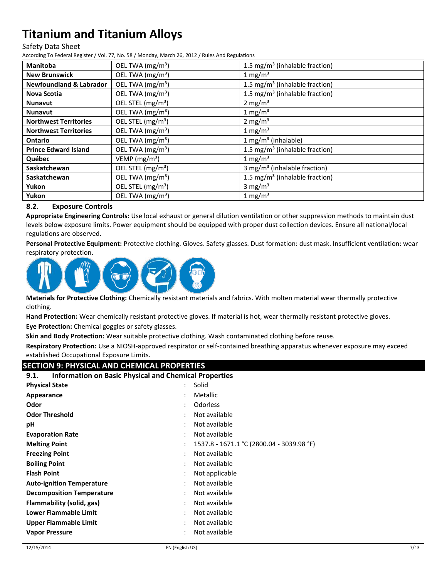#### Safety Data Sheet

According To Federal Register / Vol. 77, No. 58 / Monday, March 26, 2012 / Rules And Regulations

| <b>Manitoba</b>                    | OEL TWA (mg/m <sup>3</sup> )  | 1.5 mg/m <sup>3</sup> (inhalable fraction) |
|------------------------------------|-------------------------------|--------------------------------------------|
| <b>New Brunswick</b>               | OEL TWA (mg/m <sup>3</sup> )  | 1 mg/m <sup>3</sup>                        |
| <b>Newfoundland &amp; Labrador</b> | OEL TWA (mg/m <sup>3</sup> )  | 1.5 mg/m <sup>3</sup> (inhalable fraction) |
| Nova Scotia                        | OEL TWA (mg/m <sup>3</sup> )  | 1.5 mg/m <sup>3</sup> (inhalable fraction) |
| <b>Nunavut</b>                     | OEL STEL (mg/m <sup>3</sup> ) | 2 mg/m <sup>3</sup>                        |
| <b>Nunavut</b>                     | OEL TWA (mg/m <sup>3</sup> )  | $1 \text{ mg/m}^3$                         |
| <b>Northwest Territories</b>       | OEL STEL (mg/m <sup>3</sup> ) | 2 mg/ $m3$                                 |
| <b>Northwest Territories</b>       | OEL TWA (mg/m <sup>3</sup> )  | 1 mg/m <sup>3</sup>                        |
| Ontario                            | OEL TWA (mg/m <sup>3</sup> )  | $1 mg/m3$ (inhalable)                      |
| <b>Prince Edward Island</b>        | OEL TWA $(mg/m3)$             | 1.5 mg/m <sup>3</sup> (inhalable fraction) |
| Québec                             | VEMP ( $mg/m3$ )              | $1 \text{ mg/m}^3$                         |
| Saskatchewan                       | OEL STEL (mg/m <sup>3</sup> ) | 3 mg/m <sup>3</sup> (inhalable fraction)   |
| Saskatchewan                       | OEL TWA (mg/m <sup>3</sup> )  | 1.5 mg/m <sup>3</sup> (inhalable fraction) |
| Yukon                              | OEL STEL (mg/m <sup>3</sup> ) | 3 mg/ $m3$                                 |
| Yukon                              | OEL TWA (mg/m <sup>3</sup> )  | $1 \text{ mg/m}^3$                         |

### **8.2. Exposure Controls**

**Appropriate Engineering Controls:** Use local exhaust or general dilution ventilation or other suppression methods to maintain dust levels below exposure limits. Power equipment should be equipped with proper dust collection devices. Ensure all national/local regulations are observed.

**Personal Protective Equipment:** Protective clothing. Gloves. Safety glasses. Dust formation: dust mask. Insufficient ventilation: wear respiratory protection.



**Materials for Protective Clothing:** Chemically resistant materials and fabrics. With molten material wear thermally protective clothing.

**Hand Protection:** Wear chemically resistant protective gloves. If material is hot, wear thermally resistant protective gloves.

**Eye Protection:** Chemical goggles or safety glasses.

**Skin and Body Protection:** Wear suitable protective clothing. Wash contaminated clothing before reuse.

**Respiratory Protection:** Use a NIOSH-approved respirator or self-contained breathing apparatus whenever exposure may exceed established Occupational Exposure Limits.

## **SECTION 9: PHYSICAL AND CHEMICAL PROPERTIES**

| <b>Information on Basic Physical and Chemical Properties</b><br>9.1. |                                                             |  |
|----------------------------------------------------------------------|-------------------------------------------------------------|--|
| <b>Physical State</b>                                                | Solid                                                       |  |
| Appearance                                                           | <b>Metallic</b>                                             |  |
| Odor                                                                 | Odorless<br>٠                                               |  |
| <b>Odor Threshold</b>                                                | Not available                                               |  |
| рH                                                                   | Not available<br>٠                                          |  |
| <b>Evaporation Rate</b>                                              | Not available<br>٠                                          |  |
| <b>Melting Point</b>                                                 | 1537.8 - 1671.1 °C (2800.04 - 3039.98 °F)<br>$\ddot{\cdot}$ |  |
| <b>Freezing Point</b>                                                | Not available<br>٠                                          |  |
| <b>Boiling Point</b>                                                 | Not available<br>٠                                          |  |
| <b>Flash Point</b>                                                   | Not applicable<br>٠                                         |  |
| <b>Auto-ignition Temperature</b>                                     | Not available<br>٠                                          |  |
| <b>Decomposition Temperature</b>                                     | Not available<br>٠                                          |  |
| Flammability (solid, gas)                                            | Not available<br>٠                                          |  |
| <b>Lower Flammable Limit</b>                                         | Not available<br>٠                                          |  |
| Upper Flammable Limit                                                | Not available<br>٠                                          |  |
| <b>Vapor Pressure</b>                                                | Not available                                               |  |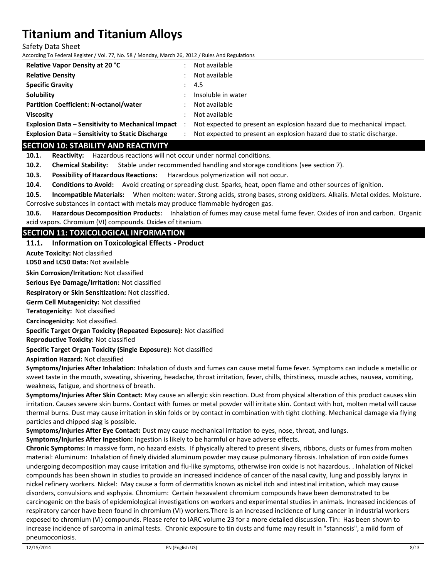Safety Data Sheet

According To Federal Register / Vol. 77, No. 58 / Monday, March 26, 2012 / Rules And Regulations

| <b>Relative Vapor Density at 20 °C</b>                   | Not available                                                         |
|----------------------------------------------------------|-----------------------------------------------------------------------|
| <b>Relative Density</b>                                  | Not available                                                         |
| <b>Specific Gravity</b>                                  | -4.5                                                                  |
| Solubility                                               | Insoluble in water                                                    |
| <b>Partition Coefficient: N-octanol/water</b>            | Not available                                                         |
| <b>Viscosity</b>                                         | Not available                                                         |
| <b>Explosion Data - Sensitivity to Mechanical Impact</b> | Not expected to present an explosion hazard due to mechanical impact. |
| <b>Explosion Data - Sensitivity to Static Discharge</b>  | Not expected to present an explosion hazard due to static discharge.  |

## **SECTION 10: STABILITY AND REACTIVITY**

**10.1. Reactivity:** Hazardous reactions will not occur under normal conditions.

**10.2. Chemical Stability:** Stable under recommended handling and storage conditions (see section 7).

**10.3. Possibility of Hazardous Reactions:** Hazardous polymerization will not occur.

**10.4. Conditions to Avoid:** Avoid creating or spreading dust. Sparks, heat, open flame and other sources of ignition.

**10.5. Incompatible Materials:** When molten: water. Strong acids, strong bases, strong oxidizers. Alkalis. Metal oxides. Moisture. Corrosive substances in contact with metals may produce flammable hydrogen gas.

**10.6. Hazardous Decomposition Products:** Inhalation of fumes may cause metal fume fever. Oxides of iron and carbon. Organic acid vapors. Chromium (VI) compounds. Oxides of titanium.

## **SECTION 11: TOXICOLOGICAL INFORMATION**

#### **11.1. Information on Toxicological Effects - Product**

**Acute Toxicity:** Not classified

**LD50 and LC50 Data:** Not available

**Skin Corrosion/Irritation:** Not classified

**Serious Eye Damage/Irritation:** Not classified

**Respiratory or Skin Sensitization:** Not classified.

**Germ Cell Mutagenicity:** Not classified

**Teratogenicity:** Not classified

**Carcinogenicity:** Not classified.

**Specific Target Organ Toxicity (Repeated Exposure):** Not classified

**Reproductive Toxicity:** Not classified

**Specific Target Organ Toxicity (Single Exposure):** Not classified

**Aspiration Hazard:** Not classified

**Symptoms/Injuries After Inhalation:** Inhalation of dusts and fumes can cause metal fume fever. Symptoms can include a metallic or sweet taste in the mouth, sweating, shivering, headache, throat irritation, fever, chills, thirstiness, muscle aches, nausea, vomiting, weakness, fatigue, and shortness of breath.

**Symptoms/Injuries After Skin Contact:** May cause an allergic skin reaction. Dust from physical alteration of this product causes skin irritation. Causes severe skin burns. Contact with fumes or metal powder will irritate skin. Contact with hot, molten metal will cause thermal burns. Dust may cause irritation in skin folds or by contact in combination with tight clothing. Mechanical damage via flying particles and chipped slag is possible.

**Symptoms/Injuries After Eye Contact:** Dust may cause mechanical irritation to eyes, nose, throat, and lungs.

**Symptoms/Injuries After Ingestion:** Ingestion is likely to be harmful or have adverse effects.

**Chronic Symptoms:** In massive form, no hazard exists. If physically altered to present slivers, ribbons, dusts or fumes from molten material: Aluminum: Inhalation of finely divided aluminum powder may cause pulmonary fibrosis. Inhalation of iron oxide fumes undergoing decomposition may cause irritation and flu-like symptoms, otherwise iron oxide is not hazardous. . Inhalation of Nickel compounds has been shown in studies to provide an increased incidence of cancer of the nasal cavity, lung and possibly larynx in nickel refinery workers. Nickel: May cause a form of dermatitis known as nickel itch and intestinal irritation, which may cause disorders, convulsions and asphyxia. Chromium: Certain hexavalent chromium compounds have been demonstrated to be carcinogenic on the basis of epidemiological investigations on workers and experimental studies in animals. Increased incidences of respiratory cancer have been found in chromium (VI) workers.There is an increased incidence of lung cancer in industrial workers exposed to chromium (VI) compounds. Please refer to IARC volume 23 for a more detailed discussion. Tin: Has been shown to increase incidence of sarcoma in animal tests. Chronic exposure to tin dusts and fume may result in "stannosis", a mild form of pneumoconiosis.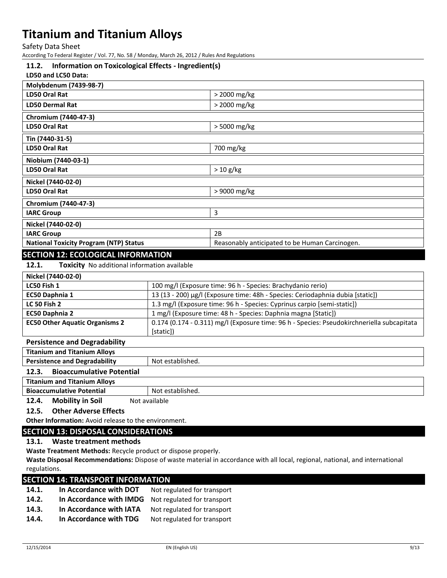Safety Data Sheet

According To Federal Register / Vol. 77, No. 58 / Monday, March 26, 2012 / Rules And Regulations

#### **11.2. Information on Toxicological Effects - Ingredient(s)**

#### **LD50 and LC50 Data:**

| Molybdenum (7439-98-7)                        |                                                |
|-----------------------------------------------|------------------------------------------------|
| LD50 Oral Rat                                 | > 2000 mg/kg                                   |
| <b>LD50 Dermal Rat</b>                        | > 2000 mg/kg                                   |
| Chromium (7440-47-3)                          |                                                |
| LD50 Oral Rat                                 | > 5000 mg/kg                                   |
| Tin (7440-31-5)                               |                                                |
| LD50 Oral Rat                                 | 700 mg/kg                                      |
| Niobium (7440-03-1)                           |                                                |
| LD50 Oral Rat                                 | $> 10$ g/kg                                    |
| Nickel (7440-02-0)                            |                                                |
| LD50 Oral Rat                                 | > 9000 mg/kg                                   |
| Chromium (7440-47-3)                          |                                                |
| <b>IARC Group</b>                             | 3                                              |
| Nickel (7440-02-0)                            |                                                |
| <b>IARC Group</b>                             | 2B                                             |
| <b>National Toxicity Program (NTP) Status</b> | Reasonably anticipated to be Human Carcinogen. |
| <b>SECTION 12: ECOLOGICAL INFORMATION</b>     |                                                |

**12.1. Toxicity** No additional information available

| Nickel (7440-02-0)                    |                                                                                            |
|---------------------------------------|--------------------------------------------------------------------------------------------|
| LC50 Fish 1                           | 100 mg/l (Exposure time: 96 h - Species: Brachydanio rerio)                                |
| EC50 Daphnia 1                        | 13 (13 - 200) µg/l (Exposure time: 48h - Species: Ceriodaphnia dubia [static])             |
| <b>LC 50 Fish 2</b>                   | 1.3 mg/l (Exposure time: 96 h - Species: Cyprinus carpio [semi-static])                    |
| <b>EC50 Daphnia 2</b>                 | 1 mg/l (Exposure time: 48 h - Species: Daphnia magna [Static])                             |
| <b>EC50 Other Aquatic Organisms 2</b> | 0.174 (0.174 - 0.311) mg/l (Exposure time: 96 h - Species: Pseudokirchneriella subcapitata |
|                                       | [static])                                                                                  |

#### **Persistence and Degradability**

| <b>Titanium and Titanium Alloys</b>       |                  |
|-------------------------------------------|------------------|
| <b>Persistence and Degradability</b>      | Not established. |
| <b>Bioaccumulative Potential</b><br>12.3. |                  |
| <b>Titanium and Titanium Alloys</b>       |                  |
| <b>Bioaccumulative Potential</b>          | Not established. |
| <b>Mobility in Soil</b><br>12.4.          | Not available    |

#### **12.5. Other Adverse Effects**

**Other Information:** Avoid release to the environment.

## **SECTION 13: DISPOSAL CONSIDERATIONS**

## **13.1. Waste treatment methods**

**Waste Treatment Methods:** Recycle product or dispose properly.

**Waste Disposal Recommendations:** Dispose of waste material in accordance with all local, regional, national, and international regulations.

## **SECTION 14: TRANSPORT INFORMATION**

| 14.1. | In Accordance with DOT  | Not regulated for transport |
|-------|-------------------------|-----------------------------|
| 14.2. | In Accordance with IMDG | Not regulated for transport |
| 14.3. | In Accordance with IATA | Not regulated for transport |
| 14.4. | In Accordance with TDG  | Not regulated for transport |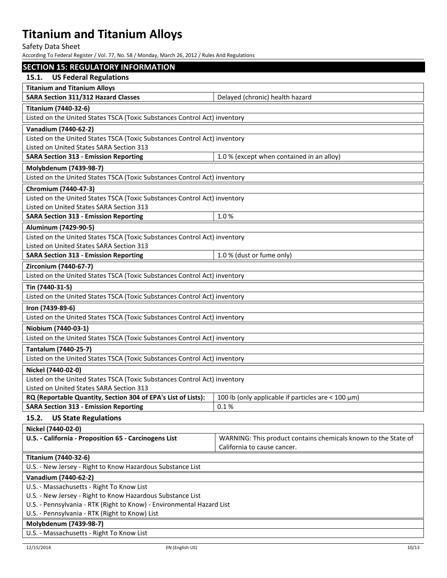Safety Data Sheet

According To Federal Register / Vol. 77, No. 58 / Monday, March 26, 2012 / Rules And Regulations

| <b>SECTION 15: REGULATORY INFORMATION</b>                                 |                                                                |  |  |
|---------------------------------------------------------------------------|----------------------------------------------------------------|--|--|
| <b>US Federal Regulations</b><br>15.1.                                    |                                                                |  |  |
| <b>Titanium and Titanium Alloys</b>                                       |                                                                |  |  |
| <b>SARA Section 311/312 Hazard Classes</b>                                | Delayed (chronic) health hazard                                |  |  |
| <b>Titanium (7440-32-6)</b>                                               |                                                                |  |  |
| Listed on the United States TSCA (Toxic Substances Control Act) inventory |                                                                |  |  |
| Vanadium (7440-62-2)                                                      |                                                                |  |  |
| Listed on the United States TSCA (Toxic Substances Control Act) inventory |                                                                |  |  |
| Listed on United States SARA Section 313                                  |                                                                |  |  |
| <b>SARA Section 313 - Emission Reporting</b>                              | 1.0 % (except when contained in an alloy)                      |  |  |
| Molybdenum (7439-98-7)                                                    |                                                                |  |  |
| Listed on the United States TSCA (Toxic Substances Control Act) inventory |                                                                |  |  |
| Chromium (7440-47-3)                                                      |                                                                |  |  |
| Listed on the United States TSCA (Toxic Substances Control Act) inventory |                                                                |  |  |
| Listed on United States SARA Section 313                                  |                                                                |  |  |
| <b>SARA Section 313 - Emission Reporting</b>                              | 1.0%                                                           |  |  |
| Aluminum (7429-90-5)                                                      |                                                                |  |  |
| Listed on the United States TSCA (Toxic Substances Control Act) inventory |                                                                |  |  |
| Listed on United States SARA Section 313                                  |                                                                |  |  |
| <b>SARA Section 313 - Emission Reporting</b>                              | 1.0 % (dust or fume only)                                      |  |  |
| Zirconium (7440-67-7)                                                     |                                                                |  |  |
| Listed on the United States TSCA (Toxic Substances Control Act) inventory |                                                                |  |  |
| Tin (7440-31-5)                                                           |                                                                |  |  |
| Listed on the United States TSCA (Toxic Substances Control Act) inventory |                                                                |  |  |
| Iron (7439-89-6)                                                          |                                                                |  |  |
| Listed on the United States TSCA (Toxic Substances Control Act) inventory |                                                                |  |  |
| Niobium (7440-03-1)                                                       |                                                                |  |  |
| Listed on the United States TSCA (Toxic Substances Control Act) inventory |                                                                |  |  |
| Tantalum (7440-25-7)                                                      |                                                                |  |  |
| Listed on the United States TSCA (Toxic Substances Control Act) inventory |                                                                |  |  |
| Nickel (7440-02-0)                                                        |                                                                |  |  |
| Listed on the United States TSCA (Toxic Substances Control Act) inventory |                                                                |  |  |
| Listed on United States SARA Section 313                                  |                                                                |  |  |
| RQ (Reportable Quantity, Section 304 of EPA's List of Lists):             | 100 lb (only applicable if particles are $<$ 100 $\mu$ m)      |  |  |
| <b>SARA Section 313 - Emission Reporting</b>                              | 0.1%                                                           |  |  |
| 15.2.<br><b>US State Regulations</b>                                      |                                                                |  |  |
| Nickel (7440-02-0)                                                        |                                                                |  |  |
| U.S. - California - Proposition 65 - Carcinogens List                     | WARNING: This product contains chemicals known to the State of |  |  |
|                                                                           | California to cause cancer.                                    |  |  |
| <b>Titanium (7440-32-6)</b>                                               |                                                                |  |  |
| U.S. - New Jersey - Right to Know Hazardous Substance List                |                                                                |  |  |
| Vanadium (7440-62-2)                                                      |                                                                |  |  |
| U.S. - Massachusetts - Right To Know List                                 |                                                                |  |  |
| U.S. - New Jersey - Right to Know Hazardous Substance List                |                                                                |  |  |
| U.S. - Pennsylvania - RTK (Right to Know) - Environmental Hazard List     |                                                                |  |  |
| U.S. - Pennsylvania - RTK (Right to Know) List                            |                                                                |  |  |
| Molybdenum (7439-98-7)                                                    |                                                                |  |  |

U.S. - Massachusetts - Right To Know List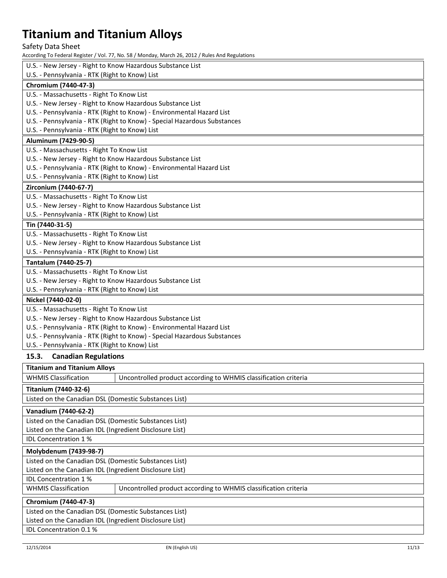Safety Data Sheet

According To Federal Register / Vol. 77, No. 58 / Monday, March 26, 2012 / Rules And Regulations

| According To Federal Register / Vol. 77, No. 50 / Monday, March 20, 2012 / Rules And Regulations |  |  |  |  |
|--------------------------------------------------------------------------------------------------|--|--|--|--|
| U.S. - New Jersey - Right to Know Hazardous Substance List                                       |  |  |  |  |
| U.S. - Pennsylvania - RTK (Right to Know) List                                                   |  |  |  |  |
| Chromium (7440-47-3)                                                                             |  |  |  |  |
| U.S. - Massachusetts - Right To Know List                                                        |  |  |  |  |
| U.S. - New Jersey - Right to Know Hazardous Substance List                                       |  |  |  |  |
| U.S. - Pennsylvania - RTK (Right to Know) - Environmental Hazard List                            |  |  |  |  |
| U.S. - Pennsylvania - RTK (Right to Know) - Special Hazardous Substances                         |  |  |  |  |
| U.S. - Pennsylvania - RTK (Right to Know) List                                                   |  |  |  |  |
| Aluminum (7429-90-5)                                                                             |  |  |  |  |
| U.S. - Massachusetts - Right To Know List                                                        |  |  |  |  |
| U.S. - New Jersey - Right to Know Hazardous Substance List                                       |  |  |  |  |
| U.S. - Pennsylvania - RTK (Right to Know) - Environmental Hazard List                            |  |  |  |  |
| U.S. - Pennsylvania - RTK (Right to Know) List                                                   |  |  |  |  |
| Zirconium (7440-67-7)                                                                            |  |  |  |  |
| U.S. - Massachusetts - Right To Know List                                                        |  |  |  |  |
| U.S. - New Jersey - Right to Know Hazardous Substance List                                       |  |  |  |  |
| U.S. - Pennsylvania - RTK (Right to Know) List                                                   |  |  |  |  |
| Tin (7440-31-5)                                                                                  |  |  |  |  |
| U.S. - Massachusetts - Right To Know List                                                        |  |  |  |  |
| U.S. - New Jersey - Right to Know Hazardous Substance List                                       |  |  |  |  |
| U.S. - Pennsylvania - RTK (Right to Know) List                                                   |  |  |  |  |
| Tantalum (7440-25-7)                                                                             |  |  |  |  |
| U.S. - Massachusetts - Right To Know List                                                        |  |  |  |  |
| U.S. - New Jersey - Right to Know Hazardous Substance List                                       |  |  |  |  |
| U.S. - Pennsylvania - RTK (Right to Know) List                                                   |  |  |  |  |
| Nickel (7440-02-0)                                                                               |  |  |  |  |
| U.S. - Massachusetts - Right To Know List                                                        |  |  |  |  |
| U.S. - New Jersey - Right to Know Hazardous Substance List                                       |  |  |  |  |
| U.S. - Pennsylvania - RTK (Right to Know) - Environmental Hazard List                            |  |  |  |  |
| U.S. - Pennsylvania - RTK (Right to Know) - Special Hazardous Substances                         |  |  |  |  |
| U.S. - Pennsylvania - RTK (Right to Know) List                                                   |  |  |  |  |
| 15.3.<br><b>Canadian Regulations</b>                                                             |  |  |  |  |
| <b>Titanium and Titanium Allovs</b>                                                              |  |  |  |  |

**Titanium (7440-32-6)**

Listed on the Canadian DSL (Domestic Substances List)

#### **Vanadium (7440-62-2)**

Listed on the Canadian DSL (Domestic Substances List) Listed on the Canadian IDL (Ingredient Disclosure List) IDL Concentration 1 %

## **Molybdenum (7439-98-7)**

Listed on the Canadian DSL (Domestic Substances List) Listed on the Canadian IDL (Ingredient Disclosure List)

IDL Concentration 1 %

| WHMIS Classification | Uncontrolled product according to WHMIS classification criteria |
|----------------------|-----------------------------------------------------------------|
|----------------------|-----------------------------------------------------------------|

WHMIS Classification | Uncontrolled product according to WHMIS classification criteria

### **Chromium (7440-47-3)**

IDL Concentration 0.1 %

Listed on the Canadian DSL (Domestic Substances List) Listed on the Canadian IDL (Ingredient Disclosure List)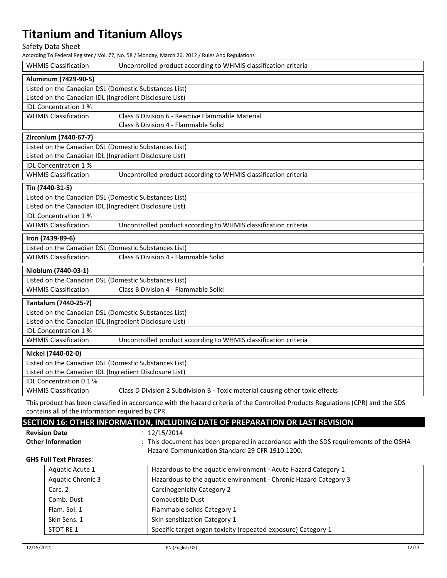Safety Data Sheet

According To Federal Register / Vol. 77, No. 58 / Monday, March 26, 2012 / Rules And Regulations

| <b>WHMIS Classification</b>                                                                                  | Uncontrolled product according to WHMIS classification criteria |  |  |  |  |
|--------------------------------------------------------------------------------------------------------------|-----------------------------------------------------------------|--|--|--|--|
| Aluminum (7429-90-5)                                                                                         |                                                                 |  |  |  |  |
| Listed on the Canadian DSL (Domestic Substances List)                                                        |                                                                 |  |  |  |  |
|                                                                                                              | Listed on the Canadian IDL (Ingredient Disclosure List)         |  |  |  |  |
| <b>IDL Concentration 1%</b>                                                                                  |                                                                 |  |  |  |  |
| <b>WHMIS Classification</b>                                                                                  | Class B Division 6 - Reactive Flammable Material                |  |  |  |  |
|                                                                                                              | Class B Division 4 - Flammable Solid                            |  |  |  |  |
| Zirconium (7440-67-7)                                                                                        |                                                                 |  |  |  |  |
| Listed on the Canadian DSL (Domestic Substances List)                                                        |                                                                 |  |  |  |  |
| Listed on the Canadian IDL (Ingredient Disclosure List)                                                      |                                                                 |  |  |  |  |
| IDL Concentration 1%                                                                                         |                                                                 |  |  |  |  |
| <b>WHMIS Classification</b>                                                                                  | Uncontrolled product according to WHMIS classification criteria |  |  |  |  |
| Tin (7440-31-5)                                                                                              |                                                                 |  |  |  |  |
| Listed on the Canadian DSL (Domestic Substances List)                                                        |                                                                 |  |  |  |  |
| Listed on the Canadian IDL (Ingredient Disclosure List)                                                      |                                                                 |  |  |  |  |
| <b>IDL Concentration 1%</b>                                                                                  |                                                                 |  |  |  |  |
| <b>WHMIS Classification</b>                                                                                  | Uncontrolled product according to WHMIS classification criteria |  |  |  |  |
| Iron (7439-89-6)                                                                                             |                                                                 |  |  |  |  |
| Listed on the Canadian DSL (Domestic Substances List)                                                        |                                                                 |  |  |  |  |
| <b>WHMIS Classification</b>                                                                                  | Class B Division 4 - Flammable Solid                            |  |  |  |  |
| Niobium (7440-03-1)                                                                                          |                                                                 |  |  |  |  |
| Listed on the Canadian DSL (Domestic Substances List)                                                        |                                                                 |  |  |  |  |
| <b>WHMIS Classification</b>                                                                                  | Class B Division 4 - Flammable Solid                            |  |  |  |  |
| Tantalum (7440-25-7)                                                                                         |                                                                 |  |  |  |  |
| Listed on the Canadian DSL (Domestic Substances List)                                                        |                                                                 |  |  |  |  |
| Listed on the Canadian IDL (Ingredient Disclosure List)                                                      |                                                                 |  |  |  |  |
| IDL Concentration 1%                                                                                         |                                                                 |  |  |  |  |
| <b>WHMIS Classification</b>                                                                                  | Uncontrolled product according to WHMIS classification criteria |  |  |  |  |
| Nickel (7440-02-0)                                                                                           |                                                                 |  |  |  |  |
| Listed on the Canadian DSL (Domestic Substances List)                                                        |                                                                 |  |  |  |  |
| Listed on the Canadian IDL (Ingredient Disclosure List)                                                      |                                                                 |  |  |  |  |
| IDL Concentration 0.1 %                                                                                      |                                                                 |  |  |  |  |
| <b>WHMIS Classification</b><br>Class D Division 2 Subdivision B - Toxic material causing other toxic effects |                                                                 |  |  |  |  |

This product has been classified in accordance with the hazard criteria of the Controlled Products Regulations (CPR) and the SDS contains all of the information required by CPR.

## **SECTION 16: OTHER INFORMATION, INCLUDING DATE OF PREPARATION OR LAST REVISION**

- **Revision Date** : 12/15/2014
- Other Information : This document has been prepared in accordance with the SDS requirements of the OSHA Hazard Communication Standard 29 CFR 1910.1200.

#### **GHS Full Text Phrases**:

| Aquatic Acute 1          | Hazardous to the aquatic environment - Acute Hazard Category 1   |
|--------------------------|------------------------------------------------------------------|
| <b>Aquatic Chronic 3</b> | Hazardous to the aquatic environment - Chronic Hazard Category 3 |
| Carc. 2                  | Carcinogenicity Category 2                                       |
| Comb. Dust               | Combustible Dust                                                 |
| Flam. Sol. 1             | Flammable solids Category 1                                      |
| Skin Sens. 1             | Skin sensitization Category 1                                    |
| STOT RE 1                | Specific target organ toxicity (repeated exposure) Category 1    |